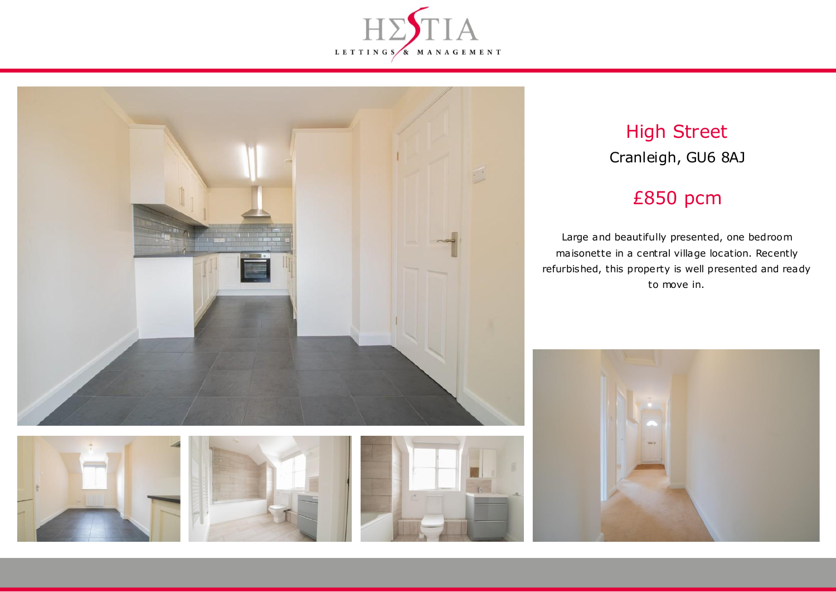



# High Street Cranleigh, GU6 8AJ

# £850 pcm

Large and beautifully presented, one bedroom maisonette in a central village location. Recently refurbished, this property is well presented and ready to move in.







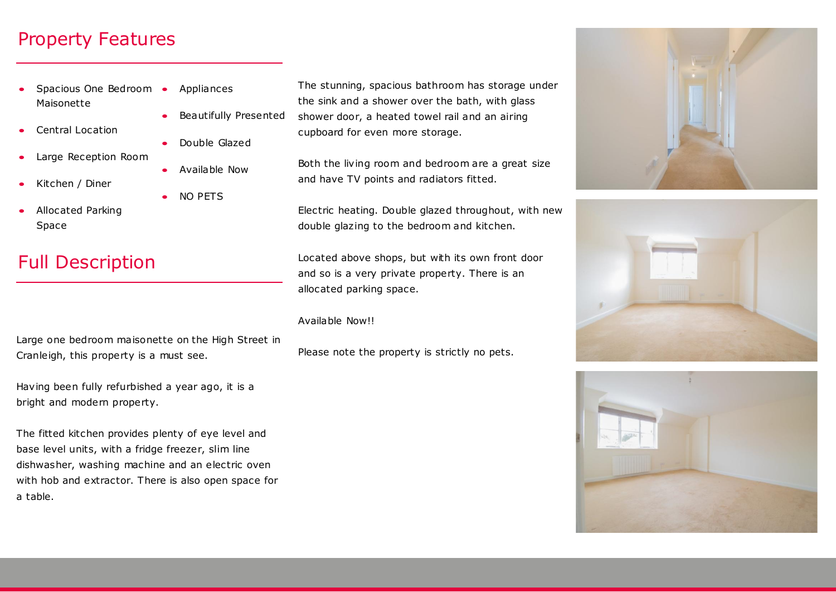### Property Features

- Spacious One Bedroom . Maisonette
- Central Location
- Large Reception Room
- Kitchen / Diner
- Allocated Parking Space

## Full Description

Large one bedroom maisonette on the High Street in Cranleigh, this property is a must see.

Appliances

Double Glazed

Available Now

NO PETS

Beautifully Presented

Having been fully refurbished a year ago, it is a bright and modern property.

The fitted kitchen provides plenty of eye level and base level units, with a fridge freezer, slim line dishwasher, washing machine and an electric oven with hob and extractor. There is also open space for a table.

The stunning, spacious bathroom has storage under the sink and a shower over the bath, with glass shower door, a heated towel rail and an airing cupboard for even more storage.

Both the living room and bedroom are a great size and have TV points and radiators fitted.

Electric heating. Double glazed throughout, with new double glazing to the bedroom and kitchen.

Located above shops, but with its own front door and so is a very private property. There is an allocated parking space.

#### Available Now!!

Please note the property is strictly no pets.





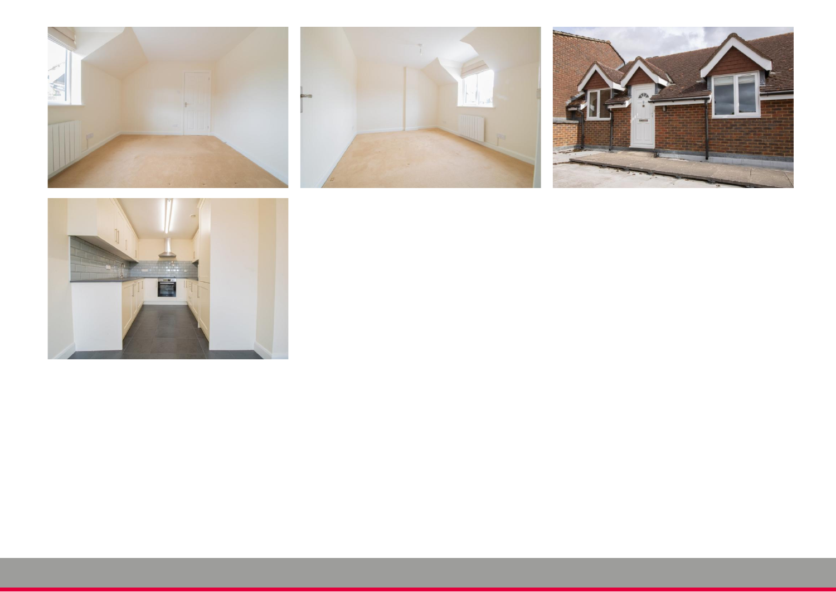